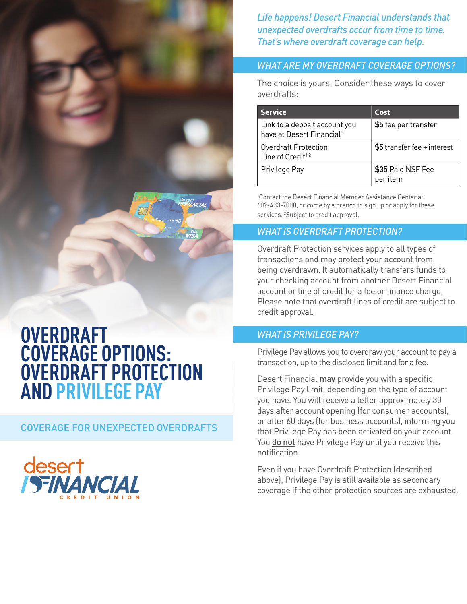*Life happens! Desert Financial understands that unexpected overdrafts occur from time to time. That's where overdraft coverage can help.* 

#### *WHAT ARE MY OVERDRAFT COVERAGE OPTIONS?*

The choice is yours. Consider these ways to cover overdrafts:

| <b>Service</b>                                                         | Cost                          |  |
|------------------------------------------------------------------------|-------------------------------|--|
| Link to a deposit account you<br>have at Desert Financial <sup>1</sup> | \$5 fee per transfer          |  |
| <b>Overdraft Protection</b><br>Line of Credit <sup>1,2</sup>           | $$5$ transfer fee + interest  |  |
| Privilege Pay                                                          | \$35 Paid NSF Fee<br>per item |  |

1 Contact the Desert Financial Member Assistance Center at 602-433-7000, or come by a branch to sign up or apply for these services. <sup>2</sup>Subject to credit approval.

## *WHAT IS OVERDRAFT PROTECTION?*

Overdraft Protection services apply to all types of transactions and may protect your account from being overdrawn. It automatically transfers funds to your checking account from another Desert Financial account or line of credit for a fee or finance charge. Please note that overdraft lines of credit are subject to credit approval.

#### *WHAT IS PRIVILEGE PAY?*

Privilege Pay allows you to overdraw your account to pay a transaction, up to the disclosed limit and for a fee.

Desert Financial may provide you with a specific Privilege Pay limit, depending on the type of account you have. You will receive a letter approximately 30 days after account opening (for consumer accounts), or after 60 days (for business accounts), informing you that Privilege Pay has been activated on your account. You do not have Privilege Pay until you receive this notification.

Even if you have Overdraft Protection (described above), Privilege Pay is still available as secondary coverage if the other protection sources are exhausted.

# **OVERDRAFT COVERAGE OPTIONS: OVERDRAFT PROTECTION AND PRIVILEGE PAY**

COVERAGE FOR UNEXPECTED OVERDRAFTS

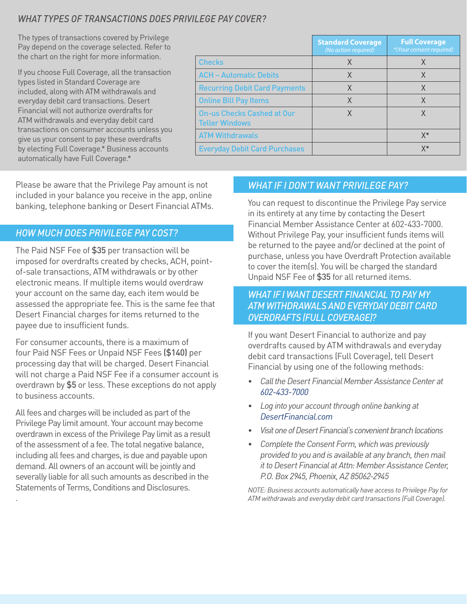# *WHAT TYPES OF TRANSACTIONS DOES PRIVILEGE PAY COVER?*

The types of transactions covered by Privilege Pay depend on the coverage selected. Refer to the chart on the right for more information.

If you choose Full Coverage, all the transaction types listed in Standard Coverage are included, along with ATM withdrawals and everyday debit card transactions. Desert Financial will not authorize overdrafts for ATM withdrawals and everyday debit card transactions on consumer accounts unless you give us your consent to pay these overdrafts by electing Full Coverage.\* Business accounts automatically have Full Coverage.\*

|                                                            | <b>Standard Coverage</b><br>(No action required) | <b>Full Coverage</b><br>*(Your consent required) |
|------------------------------------------------------------|--------------------------------------------------|--------------------------------------------------|
| <b>Checks</b>                                              | X                                                |                                                  |
| <b>ACH - Automatic Debits</b>                              | X                                                | X                                                |
| <b>Recurring Debit Card Payments</b>                       | Χ                                                | Χ                                                |
| <b>Online Bill Pay Items</b>                               | X                                                | Χ                                                |
| <b>On-us Checks Cashed at Our</b><br><b>Teller Windows</b> | χ                                                | X                                                |
| <b>ATM Withdrawals</b>                                     |                                                  | $X^*$                                            |
| <b>Everyday Debit Card Purchases</b>                       |                                                  | X*                                               |

Please be aware that the Privilege Pay amount is not included in your balance you receive in the app, online banking, telephone banking or Desert Financial ATMs.

#### *HOW MUCH DOES PRIVILEGE PAY COST?*

The Paid NSF Fee of \$35 per transaction will be imposed for overdrafts created by checks, ACH, pointof-sale transactions, ATM withdrawals or by other electronic means. If multiple items would overdraw your account on the same day, each item would be assessed the appropriate fee. This is the same fee that Desert Financial charges for items returned to the payee due to insufficient funds.

For consumer accounts, there is a maximum of four Paid NSF Fees or Unpaid NSF Fees (\$140) per processing day that will be charged. Desert Financial will not charge a Paid NSF Fee if a consumer account is overdrawn by \$5 or less. These exceptions do not apply to business accounts.

All fees and charges will be included as part of the Privilege Pay limit amount. Your account may become overdrawn in excess of the Privilege Pay limit as a result of the assessment of a fee. The total negative balance, including all fees and charges, is due and payable upon demand. All owners of an account will be jointly and severally liable for all such amounts as described in the Statements of Terms, Conditions and Disclosures.

.

### *WHAT IF I DON'T WANT PRIVILEGE PAY?*

You can request to discontinue the Privilege Pay service in its entirety at any time by contacting the Desert Financial Member Assistance Center at 602-433-7000. Without Privilege Pay, your insufficient funds items will be returned to the payee and/or declined at the point of purchase, unless you have Overdraft Protection available to cover the item(s). You will be charged the standard Unpaid NSF Fee of \$35 for all returned items.

#### *WHAT IF I WANT DESERT FINANCIAL TO PAY MY ATM WITHDRAWALS AND EVERYDAY DEBIT CARD OVERDRAFTS (FULL COVERAGE)?*

If you want Desert Financial to authorize and pay overdrafts caused by ATM withdrawals and everyday debit card transactions (Full Coverage), tell Desert Financial by using one of the following methods:

- *• Call the Desert Financial Member Assistance Center at 602-433-7000*
- *• Log into your account through online banking at DesertFinancial.com*
- *• Visit one of Desert Financial's convenient branch locations*
- *• Complete the Consent Form, which was previously provided to you and is available at any branch, then mail it to Desert Financial at Attn: Member Assistance Center, P.O. Box 2945, Phoenix, AZ 85062-2945*

*NOTE: Business accounts automatically have access to Privilege Pay for ATM withdrawals and everyday debit card transactions (Full Coverage).*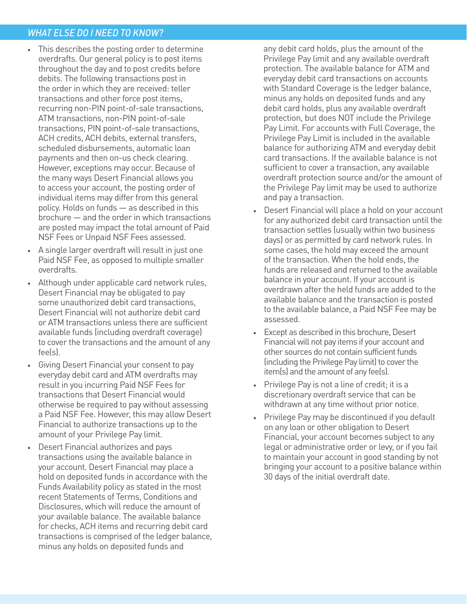#### *WHAT ELSE DO I NEED TO KNOW?*

- *•* This describes the posting order to determine overdrafts. Our general policy is to post items throughout the day and to post credits before debits. The following transactions post in the order in which they are received: teller transactions and other force post items, recurring non-PIN point-of-sale transactions, ATM transactions, non-PIN point-of-sale transactions, PIN point-of-sale transactions, ACH credits, ACH debits, external transfers, scheduled disbursements, automatic loan payments and then on-us check clearing. However, exceptions may occur. Because of the many ways Desert Financial allows you to access your account, the posting order of individual items may differ from this general policy. Holds on funds — as described in this brochure — and the order in which transactions are posted may impact the total amount of Paid NSF Fees or Unpaid NSF Fees assessed.
- *•* A single larger overdraft will result in just one Paid NSF Fee, as opposed to multiple smaller overdrafts.
- *•* Although under applicable card network rules, Desert Financial may be obligated to pay some unauthorized debit card transactions, Desert Financial will not authorize debit card or ATM transactions unless there are sufficient available funds (including overdraft coverage) to cover the transactions and the amount of any fee(s).
- *•* Giving Desert Financial your consent to pay everyday debit card and ATM overdrafts may result in you incurring Paid NSF Fees for transactions that Desert Financial would otherwise be required to pay without assessing a Paid NSF Fee. However, this may allow Desert Financial to authorize transactions up to the amount of your Privilege Pay limit.
- *•* Desert Financial authorizes and pays transactions using the available balance in your account. Desert Financial may place a hold on deposited funds in accordance with the Funds Availability policy as stated in the most recent Statements of Terms, Conditions and Disclosures, which will reduce the amount of your available balance. The available balance for checks, ACH items and recurring debit card transactions is comprised of the ledger balance, minus any holds on deposited funds and

any debit card holds, plus the amount of the Privilege Pay limit and any available overdraft protection. The available balance for ATM and everyday debit card transactions on accounts with Standard Coverage is the ledger balance, minus any holds on deposited funds and any debit card holds, plus any available overdraft protection, but does NOT include the Privilege Pay Limit. For accounts with Full Coverage, the Privilege Pay Limit is included in the available balance for authorizing ATM and everyday debit card transactions. If the available balance is not sufficient to cover a transaction, any available overdraft protection source and/or the amount of the Privilege Pay limit may be used to authorize and pay a transaction.

- *•* Desert Financial will place a hold on your account for any authorized debit card transaction until the transaction settles (usually within two business days) or as permitted by card network rules. In some cases, the hold may exceed the amount of the transaction. When the hold ends, the funds are released and returned to the available balance in your account. If your account is overdrawn after the held funds are added to the available balance and the transaction is posted to the available balance, a Paid NSF Fee may be assessed.
- *•* Except as described in this brochure, Desert Financial will not pay items if your account and other sources do not contain sufficient funds (including the Privilege Pay limit) to cover the item(s) and the amount of any fee(s).
- *•* Privilege Pay is not a line of credit; it is a discretionary overdraft service that can be withdrawn at any time without prior notice.
- *•* Privilege Pay may be discontinued if you default on any loan or other obligation to Desert Financial, your account becomes subject to any legal or administrative order or levy, or if you fail to maintain your account in good standing by not bringing your account to a positive balance within 30 days of the initial overdraft date.